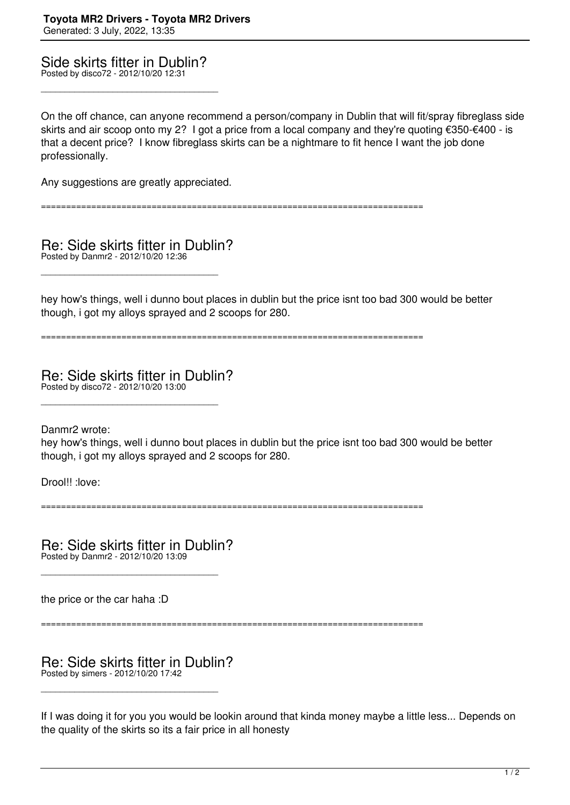Side skirts fitter in Dublin? Posted by disco72 - 2012/10/20 12:31

\_\_\_\_\_\_\_\_\_\_\_\_\_\_\_\_\_\_\_\_\_\_\_\_\_\_\_\_\_\_\_\_\_\_\_\_\_

On the off chance, can anyone recommend a person/company in Dublin that will fit/spray fibreglass side skirts and air scoop onto my 2? I got a price from a local company and they're quoting €350-€400 - is that a decent price? I know fibreglass skirts can be a nightmare to fit hence I want the job done professionally.

Any suggestions are greatly appreciated.

============================================================================

Re: Side skirts fitter in Dublin? Posted by Danmr2 - 2012/10/20 12:36

\_\_\_\_\_\_\_\_\_\_\_\_\_\_\_\_\_\_\_\_\_\_\_\_\_\_\_\_\_\_\_\_\_\_\_\_\_

hey how's things, well i dunno bout places in dublin but the price isnt too bad 300 would be better though, i got my alloys sprayed and 2 scoops for 280.

============================================================================

Re: Side skirts fitter in Dublin? Posted by disco72 - 2012/10/20 13:00

\_\_\_\_\_\_\_\_\_\_\_\_\_\_\_\_\_\_\_\_\_\_\_\_\_\_\_\_\_\_\_\_\_\_\_\_\_

Danmr2 wrote:

hey how's things, well i dunno bout places in dublin but the price isnt too bad 300 would be better though, i got my alloys sprayed and 2 scoops for 280.

Drool!! :love:

============================================================================

Re: Side skirts fitter in Dublin? Posted by Danmr2 - 2012/10/20 13:09

\_\_\_\_\_\_\_\_\_\_\_\_\_\_\_\_\_\_\_\_\_\_\_\_\_\_\_\_\_\_\_\_\_\_\_\_\_

the price or the car haha :D

============================================================================

Re: Side skirts fitter in Dublin? Posted by simers - 2012/10/20 17:42

\_\_\_\_\_\_\_\_\_\_\_\_\_\_\_\_\_\_\_\_\_\_\_\_\_\_\_\_\_\_\_\_\_\_\_\_\_

If I was doing it for you you would be lookin around that kinda money maybe a little less... Depends on the quality of the skirts so its a fair price in all honesty